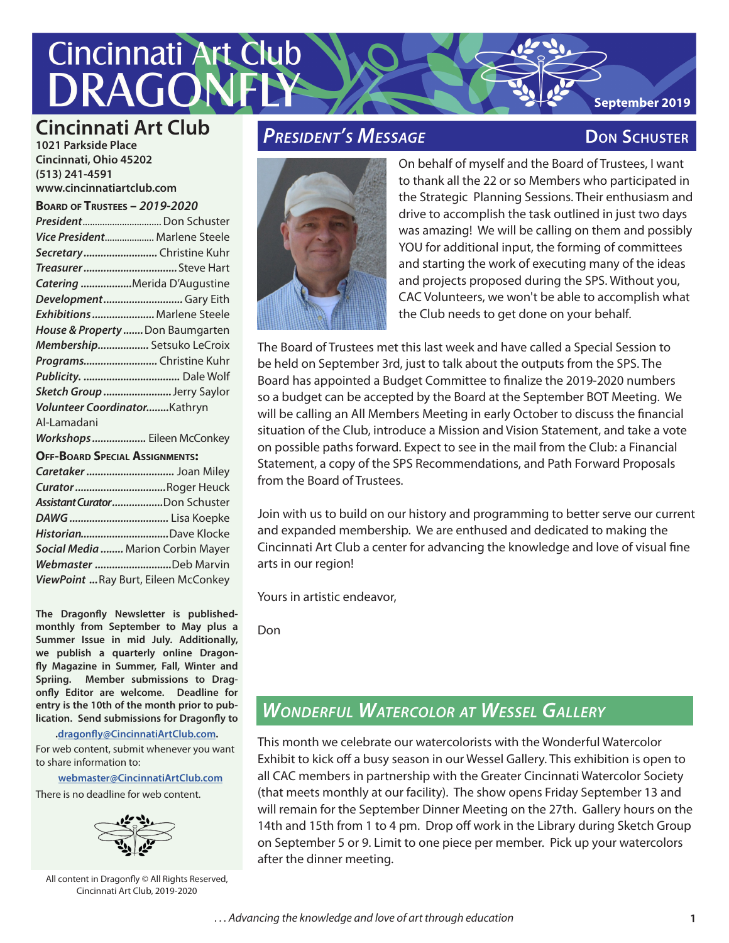# **Cincinnati Art Club** DRA(

### **Cincinnati Art Club**

**1021 Parkside Place Cincinnati, Ohio 45202 (513) 241-4591 www.cincinnatiartclub.com**

**Board of Trustees –** *2019-2020*

| President Don Schuster                |
|---------------------------------------|
| Vice President Marlene Steele         |
| Secretary Christine Kuhr              |
|                                       |
| Catering Merida D'Augustine           |
| DevelopmentGary Eith                  |
| Exhibitions  Marlene Steele           |
| House & Property  Don Baumgarten      |
| Membership Setsuko LeCroix            |
| Programs Christine Kuhr               |
|                                       |
| Sketch Group Jerry Saylor             |
| Volunteer CoordinatorKathryn          |
| Al-Lamadani                           |
| Workshops Eileen McConkey             |
| <b>OFF-BOARD SPECIAL ASSIGNMENTS:</b> |
| Caretaker  Joan Miley                 |
| Curator Roger Heuck                   |
| Assistant CuratorDon Schuster         |
|                                       |
| HistorianDave Klocke                  |
| Social Media  Marion Corbin Mayer     |
| Webmaster Deb Marvin                  |
| ViewPoint  Ray Burt, Eileen McConkey  |

**The Dragonfly Newsletter is publishedmonthly from September to May plus a Summer Issue in mid July. Additionally, we publish a quarterly online Dragonfly Magazine in Summer, Fall, Winter and Spriing. Member submissions to Dragonfly Editor are welcome. Deadline for entry is the 10th of the month prior to publication. Send submissions for Dragonfly to** 

**.dragonfly@CincinnatiArtClub.com.** 

For web content, submit whenever you want to share information to:

**webmaster@CincinnatiArtClub.com**

There is no deadline for web content.



All content in Dragonfly © All Rights Reserved, Cincinnati Art Club, 2019-2020

### **PRESIDENT'S MESSAGE CONVINGED BY DON SCHUSTER**

**September 2019**



On behalf of myself and the Board of Trustees, I want to thank all the 22 or so Members who participated in the Strategic Planning Sessions. Their enthusiasm and drive to accomplish the task outlined in just two days was amazing! We will be calling on them and possibly YOU for additional input, the forming of committees and starting the work of executing many of the ideas and projects proposed during the SPS. Without you, CAC Volunteers, we won't be able to accomplish what the Club needs to get done on your behalf.

The Board of Trustees met this last week and have called a Special Session to be held on September 3rd, just to talk about the outputs from the SPS. The Board has appointed a Budget Committee to finalize the 2019-2020 numbers so a budget can be accepted by the Board at the September BOT Meeting. We will be calling an All Members Meeting in early October to discuss the financial situation of the Club, introduce a Mission and Vision Statement, and take a vote on possible paths forward. Expect to see in the mail from the Club: a Financial Statement, a copy of the SPS Recommendations, and Path Forward Proposals from the Board of Trustees.

Join with us to build on our history and programming to better serve our current and expanded membership. We are enthused and dedicated to making the Cincinnati Art Club a center for advancing the knowledge and love of visual fine arts in our region!

Yours in artistic endeavor,

Don

## *Wonderful Watercolor at Wessel Gallery*

This month we celebrate our watercolorists with the Wonderful Watercolor Exhibit to kick off a busy season in our Wessel Gallery. This exhibition is open to all CAC members in partnership with the Greater Cincinnati Watercolor Society (that meets monthly at our facility). The show opens Friday September 13 and will remain for the September Dinner Meeting on the 27th. Gallery hours on the 14th and 15th from 1 to 4 pm. Drop off work in the Library during Sketch Group on September 5 or 9. Limit to one piece per member. Pick up your watercolors after the dinner meeting.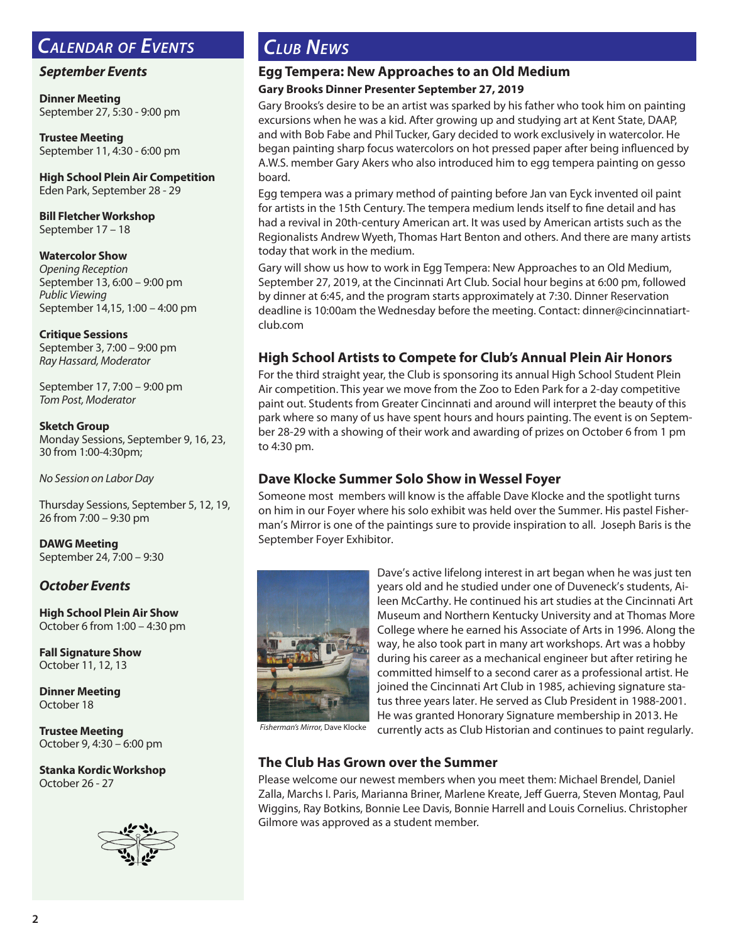### *Calendar of Events*

#### *September Events*

**Dinner Meeting** September 27, 5:30 - 9:00 pm

**Trustee Meeting** September 11, 4:30 - 6:00 pm

**High School Plein Air Competition** Eden Park, September 28 - 29

**Bill Fletcher Workshop** September 17 – 18

#### **Watercolor Show**

*Opening Reception* September 13, 6:00 – 9:00 pm *Public Viewing* September 14,15, 1:00 – 4:00 pm

#### **Critique Sessions**

September 3, 7:00 – 9:00 pm *Ray Hassard, Moderator*

September 17, 7:00 – 9:00 pm *Tom Post, Moderator*

#### **Sketch Group**

Monday Sessions, September 9, 16, 23, 30 from 1:00-4:30pm;

*No Session on Labor Day* 

Thursday Sessions, September 5, 12, 19, 26 from 7:00 – 9:30 pm

**DAWG Meeting** September 24, 7:00 – 9:30

#### *October Events*

**High School Plein Air Show** October 6 from 1:00 – 4:30 pm

**Fall Signature Show** October 11, 12, 13

**Dinner Meeting** October 18

**Trustee Meeting** October 9, 4:30 – 6:00 pm

**Stanka Kordic Workshop** October 26 - 27



### *Club News*

#### **Egg Tempera: New Approaches to an Old Medium Gary Brooks Dinner Presenter September 27, 2019**

Gary Brooks's desire to be an artist was sparked by his father who took him on painting excursions when he was a kid. After growing up and studying art at Kent State, DAAP, and with Bob Fabe and Phil Tucker, Gary decided to work exclusively in watercolor. He began painting sharp focus watercolors on hot pressed paper after being influenced by A.W.S. member Gary Akers who also introduced him to egg tempera painting on gesso board.

Egg tempera was a primary method of painting before Jan van Eyck invented oil paint for artists in the 15th Century. The tempera medium lends itself to fine detail and has had a revival in 20th-century American art. It was used by American artists such as the Regionalists Andrew Wyeth, Thomas Hart Benton and others. And there are many artists today that work in the medium.

Gary will show us how to work in Egg Tempera: New Approaches to an Old Medium, September 27, 2019, at the Cincinnati Art Club. Social hour begins at 6:00 pm, followed by dinner at 6:45, and the program starts approximately at 7:30. Dinner Reservation deadline is 10:00am the Wednesday before the meeting. Contact: dinner@cincinnatiartclub.com

### **High School Artists to Compete for Club's Annual Plein Air Honors**

For the third straight year, the Club is sponsoring its annual High School Student Plein Air competition. This year we move from the Zoo to Eden Park for a 2-day competitive paint out. Students from Greater Cincinnati and around will interpret the beauty of this park where so many of us have spent hours and hours painting. The event is on September 28-29 with a showing of their work and awarding of prizes on October 6 from 1 pm to 4:30 pm.

#### **Dave Klocke Summer Solo Show in Wessel Foyer**

Someone most members will know is the affable Dave Klocke and the spotlight turns on him in our Foyer where his solo exhibit was held over the Summer. His pastel Fisherman's Mirror is one of the paintings sure to provide inspiration to all. Joseph Baris is the September Foyer Exhibitor.



Dave's active lifelong interest in art began when he was just ten years old and he studied under one of Duveneck's students, Aileen McCarthy. He continued his art studies at the Cincinnati Art Museum and Northern Kentucky University and at Thomas More College where he earned his Associate of Arts in 1996. Along the way, he also took part in many art workshops. Art was a hobby during his career as a mechanical engineer but after retiring he committed himself to a second carer as a professional artist. He joined the Cincinnati Art Club in 1985, achieving signature status three years later. He served as Club President in 1988-2001. He was granted Honorary Signature membership in 2013. He currently acts as Club Historian and continues to paint regularly.

*Fisherman's Mirror,* Dave Klocke

#### **The Club Has Grown over the Summer**

Please welcome our newest members when you meet them: Michael Brendel, Daniel Zalla, Marchs I. Paris, Marianna Briner, Marlene Kreate, Jeff Guerra, Steven Montag, Paul Wiggins, Ray Botkins, Bonnie Lee Davis, Bonnie Harrell and Louis Cornelius. Christopher Gilmore was approved as a student member.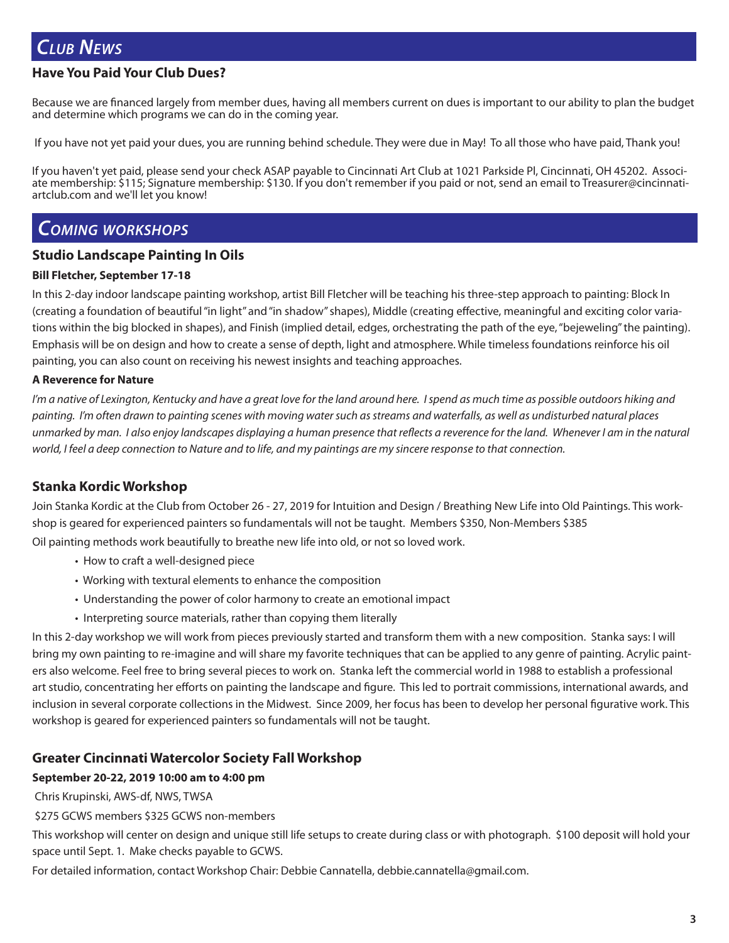### *Club News*

#### **Have You Paid Your Club Dues?**

Because we are financed largely from member dues, having all members current on dues is important to our ability to plan the budget and determine which programs we can do in the coming year.

If you have not yet paid your dues, you are running behind schedule. They were due in May! To all those who have paid, Thank you!

If you haven't yet paid, please send your check ASAP payable to Cincinnati Art Club at 1021 Parkside Pl, Cincinnati, OH 45202. Associate membership: \$115; Signature membership: \$130. If you don't remember if you paid or not, send an email to Treasurer@cincinnati-<br>artclub.com and we'll let you know!

### *Coming workshops*

#### **Studio Landscape Painting In Oils**

#### **Bill Fletcher, September 17-18**

In this 2-day indoor landscape painting workshop, artist Bill Fletcher will be teaching his three-step approach to painting: Block In (creating a foundation of beautiful "in light" and "in shadow" shapes), Middle (creating effective, meaningful and exciting color variations within the big blocked in shapes), and Finish (implied detail, edges, orchestrating the path of the eye, "bejeweling" the painting). Emphasis will be on design and how to create a sense of depth, light and atmosphere. While timeless foundations reinforce his oil painting, you can also count on receiving his newest insights and teaching approaches.

#### **A Reverence for Nature**

*I'm a native of Lexington, Kentucky and have a great love for the land around here. I spend as much time as possible outdoors hiking and painting. I'm often drawn to painting scenes with moving water such as streams and waterfalls, as well as undisturbed natural places unmarked by man. I also enjoy landscapes displaying a human presence that reflects a reverence for the land. Whenever I am in the natural*  world, I feel a deep connection to Nature and to life, and my paintings are my sincere response to that connection.

#### **Stanka Kordic Workshop**

Join Stanka Kordic at the Club from October 26 - 27, 2019 for Intuition and Design / Breathing New Life into Old Paintings. This workshop is geared for experienced painters so fundamentals will not be taught. Members \$350, Non-Members \$385 Oil painting methods work beautifully to breathe new life into old, or not so loved work.

- How to craft a well-designed piece
- Working with textural elements to enhance the composition
- Understanding the power of color harmony to create an emotional impact
- Interpreting source materials, rather than copying them literally

In this 2-day workshop we will work from pieces previously started and transform them with a new composition. Stanka says: I will bring my own painting to re-imagine and will share my favorite techniques that can be applied to any genre of painting. Acrylic painters also welcome. Feel free to bring several pieces to work on. Stanka left the commercial world in 1988 to establish a professional art studio, concentrating her efforts on painting the landscape and figure. This led to portrait commissions, international awards, and inclusion in several corporate collections in the Midwest. Since 2009, her focus has been to develop her personal figurative work. This workshop is geared for experienced painters so fundamentals will not be taught.

#### **Greater Cincinnati Watercolor Society Fall Workshop**

#### **September 20-22, 2019 10:00 am to 4:00 pm**

Chris Krupinski, AWS-df, NWS, TWSA

\$275 GCWS members \$325 GCWS non-members

This workshop will center on design and unique still life setups to create during class or with photograph. \$100 deposit will hold your space until Sept. 1. Make checks payable to GCWS.

For detailed information, contact Workshop Chair: Debbie Cannatella, debbie.cannatella@gmail.com.